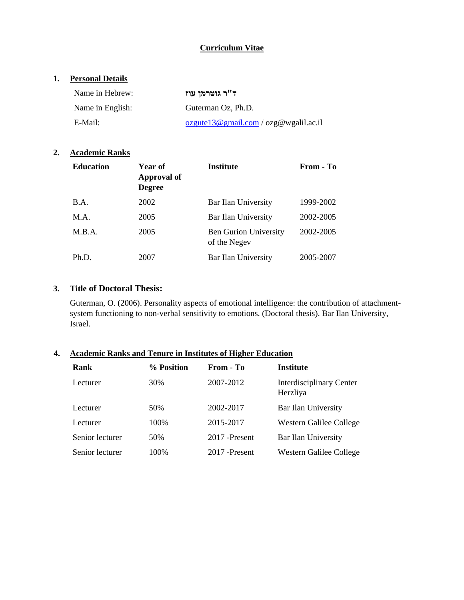## **Curriculum Vitae**

### **1. Personal Details**

| Name in Hebrew:  | ד"ר גוטרמן עוז                                      |
|------------------|-----------------------------------------------------|
| Name in English: | Guterman Oz. Ph.D.                                  |
| E-Mail:          | $o$ zgute $13@$ gmail.com / $o$ zg $@$ wgalil.ac.il |

#### **2. Academic Ranks**

| <b>Education</b> | <b>Year of</b><br>Approval of<br><b>Degree</b> | <b>Institute</b>                             | From - To |
|------------------|------------------------------------------------|----------------------------------------------|-----------|
| B.A.             | 2002                                           | Bar Ilan University                          | 1999-2002 |
| M.A.             | 2005                                           | Bar Ilan University                          | 2002-2005 |
| M.B.A.           | 2005                                           | <b>Ben Gurion University</b><br>of the Negev | 2002-2005 |
| Ph.D.            | 2007                                           | Bar Ilan University                          | 2005-2007 |

### **3. Title of Doctoral Thesis:**

Guterman, O. (2006). Personality aspects of emotional intelligence: the contribution of attachmentsystem functioning to non-verbal sensitivity to emotions. (Doctoral thesis). Bar Ilan University, Israel.

## **4. Academic Ranks and Tenure in Institutes of Higher Education**

| Rank            | % Position | From - To      | <b>Institute</b>                            |
|-----------------|------------|----------------|---------------------------------------------|
| Lecturer        | 30%        | 2007-2012      | <b>Interdisciplinary Center</b><br>Herzliya |
| Lecturer        | 50%        | 2002-2017      | Bar Ilan University                         |
| Lecturer        | 100%       | 2015-2017      | Western Galilee College                     |
| Senior lecturer | 50%        | 2017 - Present | Bar Ilan University                         |
| Senior lecturer | 100%       | 2017 - Present | Western Galilee College                     |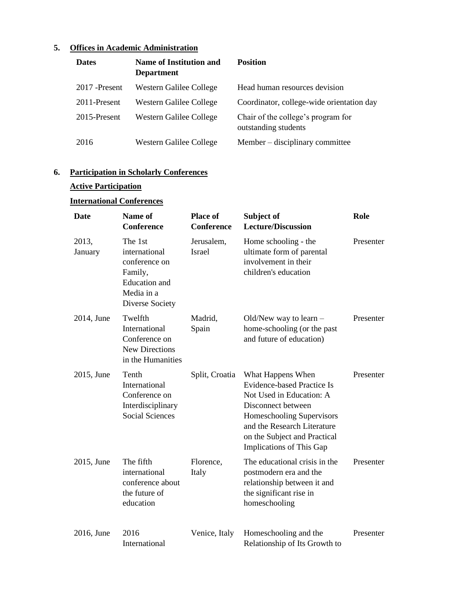# **5. Offices in Academic Administration**

| <b>Dates</b>   | <b>Name of Institution and</b><br><b>Department</b> | <b>Position</b>                                            |
|----------------|-----------------------------------------------------|------------------------------------------------------------|
| 2017 - Present | Western Galilee College                             | Head human resources devision                              |
| 2011-Present   | Western Galilee College                             | Coordinator, college-wide orientation day                  |
| 2015-Present   | Western Galilee College                             | Chair of the college's program for<br>outstanding students |
| 2016           | Western Galilee College                             | Member – disciplinary committee                            |

# **6. Participation in Scholarly Conferences**

## **Active Participation**

# **International Conferences**

| <b>Date</b>      | Name of<br><b>Conference</b>                                                                                  | <b>Place of</b><br><b>Conference</b> | Subject of<br><b>Lecture/Discussion</b>                                                                                                                                                                                          | Role      |
|------------------|---------------------------------------------------------------------------------------------------------------|--------------------------------------|----------------------------------------------------------------------------------------------------------------------------------------------------------------------------------------------------------------------------------|-----------|
| 2013,<br>January | The 1st<br>international<br>conference on<br>Family,<br><b>Education</b> and<br>Media in a<br>Diverse Society | Jerusalem,<br><b>Israel</b>          | Home schooling - the<br>ultimate form of parental<br>involvement in their<br>children's education                                                                                                                                | Presenter |
| 2014, June       | Twelfth<br>International<br>Conference on<br><b>New Directions</b><br>in the Humanities                       | Madrid,<br>Spain                     | Old/New way to learn $-$<br>home-schooling (or the past<br>and future of education)                                                                                                                                              | Presenter |
| 2015, June       | Tenth<br>International<br>Conference on<br>Interdisciplinary<br><b>Social Sciences</b>                        | Split, Croatia                       | What Happens When<br><b>Evidence-based Practice Is</b><br>Not Used in Education: A<br>Disconnect between<br>Homeschooling Supervisors<br>and the Research Literature<br>on the Subject and Practical<br>Implications of This Gap | Presenter |
| 2015, June       | The fifth<br>international<br>conference about<br>the future of<br>education                                  | Florence,<br>Italy                   | The educational crisis in the<br>postmodern era and the<br>relationship between it and<br>the significant rise in<br>homeschooling                                                                                               | Presenter |
| 2016, June       | 2016<br>International                                                                                         | Venice, Italy                        | Homeschooling and the<br>Relationship of Its Growth to                                                                                                                                                                           | Presenter |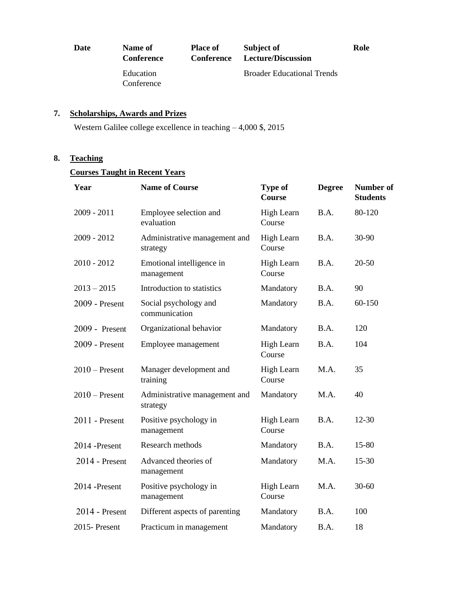| Date | Name of<br><b>Conference</b> | <b>Place of</b><br>Conference | Subject of<br>Lecture/Discussion  | Role |
|------|------------------------------|-------------------------------|-----------------------------------|------|
|      | Education<br>Conference      |                               | <b>Broader Educational Trends</b> |      |

## **7. Scholarships, Awards and Prizes**

Western Galilee college excellence in teaching – 4,000 \$, 2015

### **8. Teaching**

## **Courses Taught in Recent Years**

| Year             | <b>Name of Course</b>                     | <b>Type of</b><br>Course | <b>Degree</b> | Number of<br><b>Students</b> |
|------------------|-------------------------------------------|--------------------------|---------------|------------------------------|
| $2009 - 2011$    | Employee selection and<br>evaluation      | High Learn<br>Course     | B.A.          | 80-120                       |
| $2009 - 2012$    | Administrative management and<br>strategy | High Learn<br>Course     | B.A.          | 30-90                        |
| $2010 - 2012$    | Emotional intelligence in<br>management   | High Learn<br>Course     | B.A.          | $20 - 50$                    |
| $2013 - 2015$    | Introduction to statistics                | Mandatory                | B.A.          | 90                           |
| 2009 - Present   | Social psychology and<br>communication    | Mandatory                | B.A.          | 60-150                       |
| 2009 - Present   | Organizational behavior                   | Mandatory                | B.A.          | 120                          |
| $2009$ - Present | Employee management                       | High Learn<br>Course     | B.A.          | 104                          |
| $2010$ – Present | Manager development and<br>training       | High Learn<br>Course     | M.A.          | 35                           |
| $2010$ – Present | Administrative management and<br>strategy | Mandatory                | M.A.          | 40                           |
| $2011$ - Present | Positive psychology in<br>management      | High Learn<br>Course     | B.A.          | $12 - 30$                    |
| 2014 -Present    | Research methods                          | Mandatory                | B.A.          | 15-80                        |
| $2014$ - Present | Advanced theories of<br>management        | Mandatory                | M.A.          | 15-30                        |
| 2014 -Present    | Positive psychology in<br>management      | High Learn<br>Course     | M.A.          | $30 - 60$                    |
| $2014$ - Present | Different aspects of parenting            | Mandatory                | B.A.          | 100                          |
| 2015-Present     | Practicum in management                   | Mandatory                | B.A.          | 18                           |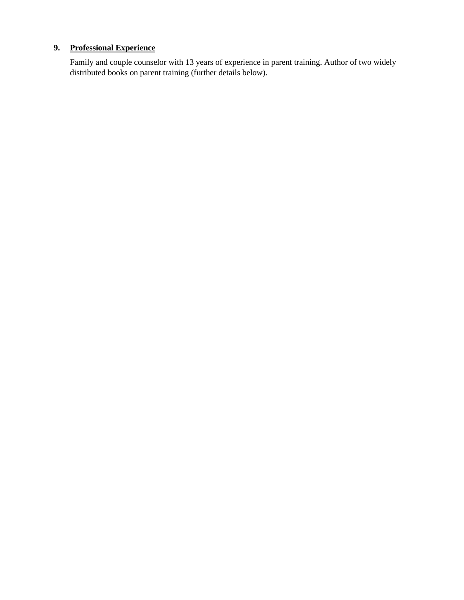# **9. Professional Experience**

Family and couple counselor with 13 years of experience in parent training. Author of two widely distributed books on parent training (further details below).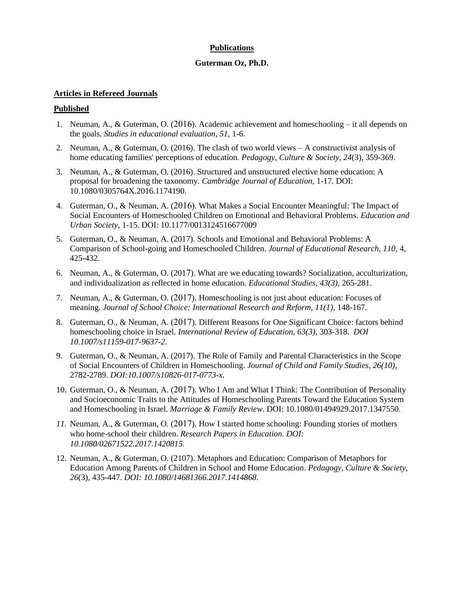### **Publications**

#### **Guterman Oz, Ph.D.**

#### **Articles in Refereed Journals**

#### **Published**

- 1. Neuman, A., & Guterman, O. (2016). Academic achievement and homeschooling it all depends on the goals. *Studies in educational evaluation*, *51*, 1-6.
- 2. Neuman, A., & Guterman, O. (2016). The clash of two world views A constructivist analysis of home educating families' perceptions of education. *Pedagogy, Culture & Society, 24*(3), 359-369.
- 3. Neuman, A., & Guterman, O. (2016). Structured and unstructured elective home education: A proposal for broadening the taxonomy. *Cambridge Journal of Education,* 1-17. DOI: 10.1080/0305764X.2016.1174190.
- 4. Guterman, O., & Neuman, A. (2016). What Makes a Social Encounter Meaningful: The Impact of Social Encounters of Homeschooled Children on Emotional and Behavioral Problems. *Education and Urban Society,* 1-15. DOI: 10.1177/0013124516677009
- 5. Guterman, O., & Neuman, A. (2017). Schools and Emotional and Behavioral Problems: A Comparison of School-going and Homeschooled Children. *Journal of Educational Research, 110,* 4, 425-432.
- 6. Neuman, A., & Guterman, O. (2017). What are we educating towards? Socialization, acculturization, and individualization as reflected in home education. *Educational Studies, 43(3),* 265-281.
- 7. Neuman, A., & Guterman, O. (2017). Homeschooling is not just about education: Focuses of meaning. *Journal of School Choice: International Research and Reform, 11(1)*, 148-167.
- 8. Guterman, O., & Neuman, A. (2017). Different Reasons for One Significant Choice: factors behind homeschooling choice in Israel. *International Review of Education, 63(3),* 303-318. *DOI 10.1007/s11159-017-9637-2*.
- 9. Guterman, O., & Neuman, A. (2017). The Role of Family and Parental Characteristics in the Scope of Social Encounters of Children in Homeschooling. *Journal of Child and Family Studies, 26(10),*  2782-2789. *DOI:10.1007/s10826-017-0773-x*.
- 10. Guterman, O., & Neuman, A. (2017). Who I Am and What I Think: The Contribution of Personality and Socioeconomic Traits to the Attitudes of Homeschooling Parents Toward the Education System and Homeschooling in Israel. *Marriage & Family Review*. DOI: 10.1080/01494929.2017.1347550.
- *11.* Neuman, A., & Guterman, O. (2017). How I started home schooling: Founding stories of mothers who home-school their children. *Research Papers in Education. DOI: 10.1080/02671522.2017.1420815 .*
- 12. Neuman, A., & Guterman, O. (2107). Metaphors and Education: Comparison of Metaphors for Education Among Parents of Children in School and Home Education. *Pedagogy, Culture & Society, 26*(3), 435-447. *DOI: 10.1080/14681366.2017.1414868*.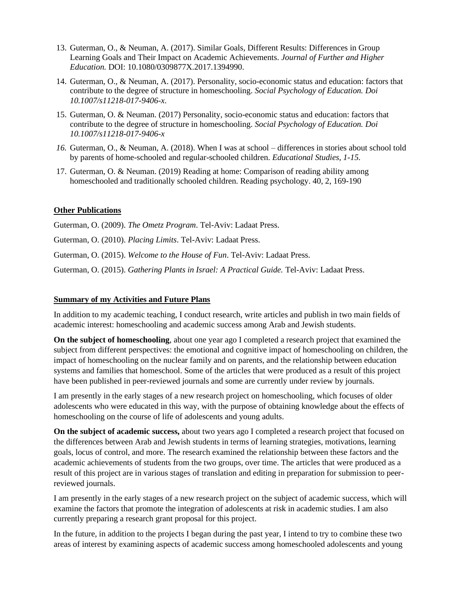- 13. Guterman, O., & Neuman, A. (2017). Similar Goals, Different Results: Differences in Group Learning Goals and Their Impact on Academic Achievements. *Journal of Further and Higher Education.* DOI: 10.1080/0309877X.2017.1394990.
- 14. Guterman, O., & Neuman, A. (2017). Personality, socio-economic status and education: factors that contribute to the degree of structure in homeschooling. *Social Psychology of Education. Doi 10.1007/s11218-017-9406-x*.
- 15. Guterman, O. & Neuman. (2017) Personality, socio-economic status and education: factors that contribute to the degree of structure in homeschooling. *Social Psychology of Education. Doi 10.1007/s11218-017-9406-x*
- *16.* Guterman, O., & Neuman, A. (2018). When I was at school differences in stories about school told by parents of home-schooled and regular-schooled children. *Educational Studies, 1-15.*
- 17. Guterman, O. & Neuman. (2019) Reading at home: Comparison of reading ability among homeschooled and traditionally schooled children. Reading psychology. 40, 2, 169-190

### **Other Publications**

Guterman, O. (2009). *The Ometz Program*. Tel-Aviv: Ladaat Press.

Guterman, O. (2010). *Placing Limits*. Tel-Aviv: Ladaat Press.

Guterman, O. (2015). *Welcome to the House of Fun*. Tel-Aviv: Ladaat Press.

Guterman, O. (2015). *Gathering Plants in Israel: A Practical Guide.* Tel-Aviv: Ladaat Press.

#### **Summary of my Activities and Future Plans**

In addition to my academic teaching, I conduct research, write articles and publish in two main fields of academic interest: homeschooling and academic success among Arab and Jewish students.

**On the subject of homeschooling**, about one year ago I completed a research project that examined the subject from different perspectives: the emotional and cognitive impact of homeschooling on children, the impact of homeschooling on the nuclear family and on parents, and the relationship between education systems and families that homeschool. Some of the articles that were produced as a result of this project have been published in peer-reviewed journals and some are currently under review by journals.

I am presently in the early stages of a new research project on homeschooling, which focuses of older adolescents who were educated in this way, with the purpose of obtaining knowledge about the effects of homeschooling on the course of life of adolescents and young adults.

**On the subject of academic success,** about two years ago I completed a research project that focused on the differences between Arab and Jewish students in terms of learning strategies, motivations, learning goals, locus of control, and more. The research examined the relationship between these factors and the academic achievements of students from the two groups, over time. The articles that were produced as a result of this project are in various stages of translation and editing in preparation for submission to peerreviewed journals.

I am presently in the early stages of a new research project on the subject of academic success, which will examine the factors that promote the integration of adolescents at risk in academic studies. I am also currently preparing a research grant proposal for this project.

In the future, in addition to the projects I began during the past year, I intend to try to combine these two areas of interest by examining aspects of academic success among homeschooled adolescents and young